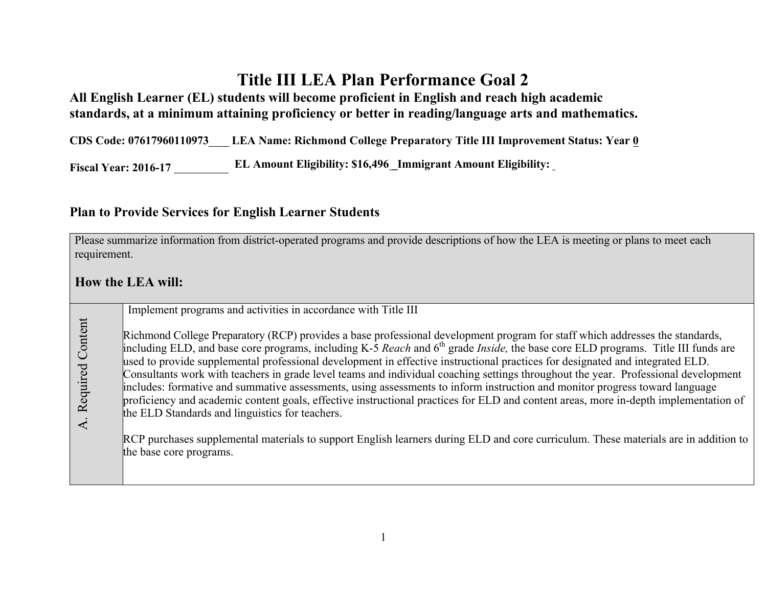## **Title III LEA Plan Performance Goal 2**

**All English Learner (EL) students will become proficient in English and reach high academic standards, at a minimum attaining proficiency or better in reading/language arts and mathematics.**

**CDS Code: 07617960110973 LEA Name: Richmond College Preparatory Title III Improvement Status: Year 0**

**Fiscal Year: 2016-17 EL Amount Eligibility: \$16,496 \_Immigrant Amount Eligibility:**

## **Plan to Provide Services for English Learner Students**

Please summarize information from district-operated programs and provide descriptions of how the LEA is meeting or plans to meet each requirement.

## **How the LEA will:**

Implement programs and activities in accordance with Title III A. Required Content A. Required Content Richmond College Preparatory (RCP) provides a base professional development program for staff which addresses the standards, including ELD, and base core programs, including K-5 *Reach* and 6<sup>th</sup> grade *Inside*, the base core ELD programs. Title III funds are used to provide supplemental professional development in effective instructional practices for designated and integrated ELD. Consultants work with teachers in grade level teams and individual coaching settings throughout the year. Professional development includes: formative and summative assessments, using assessments to inform instruction and monitor progress toward language proficiency and academic content goals, effective instructional practices for ELD and content areas, more in-depth implementation of the ELD Standards and linguistics for teachers. RCP purchases supplemental materials to support English learners during ELD and core curriculum. These materials are in addition to the base core programs.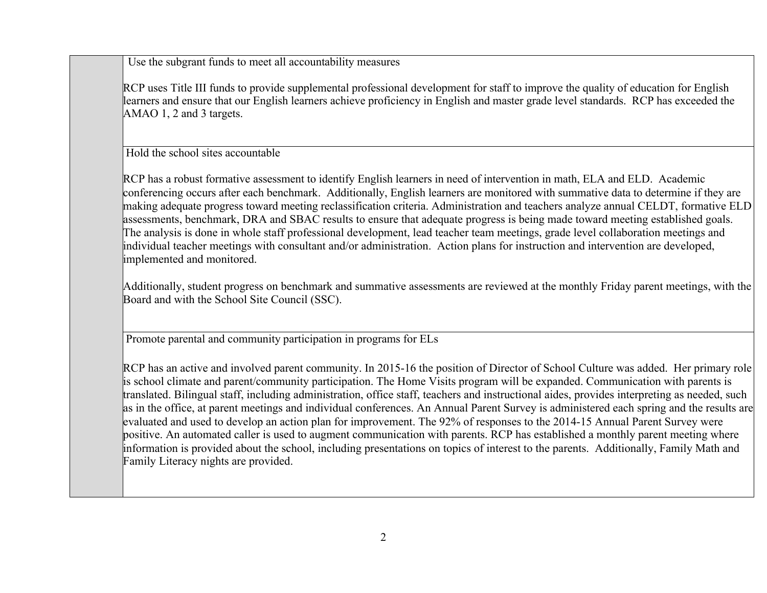Use the subgrant funds to meet all accountability measures

RCP uses Title III funds to provide supplemental professional development for staff to improve the quality of education for English learners and ensure that our English learners achieve proficiency in English and master grade level standards. RCP has exceeded the AMAO 1, 2 and 3 targets.

Hold the school sites accountable

RCP has a robust formative assessment to identify English learners in need of intervention in math, ELA and ELD. Academic conferencing occurs after each benchmark. Additionally, English learners are monitored with summative data to determine if they are making adequate progress toward meeting reclassification criteria. Administration and teachers analyze annual CELDT, formative ELD assessments, benchmark, DRA and SBAC results to ensure that adequate progress is being made toward meeting established goals. The analysis is done in whole staff professional development, lead teacher team meetings, grade level collaboration meetings and individual teacher meetings with consultant and/or administration. Action plans for instruction and intervention are developed, implemented and monitored.

Additionally, student progress on benchmark and summative assessments are reviewed at the monthly Friday parent meetings, with the Board and with the School Site Council (SSC).

Promote parental and community participation in programs for ELs

RCP has an active and involved parent community. In 2015-16 the position of Director of School Culture was added. Her primary role is school climate and parent/community participation. The Home Visits program will be expanded. Communication with parents is translated. Bilingual staff, including administration, office staff, teachers and instructional aides, provides interpreting as needed, such as in the office, at parent meetings and individual conferences. An Annual Parent Survey is administered each spring and the results are evaluated and used to develop an action plan for improvement. The 92% of responses to the 2014-15 Annual Parent Survey were positive. An automated caller is used to augment communication with parents. RCP has established a monthly parent meeting where information is provided about the school, including presentations on topics of interest to the parents. Additionally, Family Math and Family Literacy nights are provided.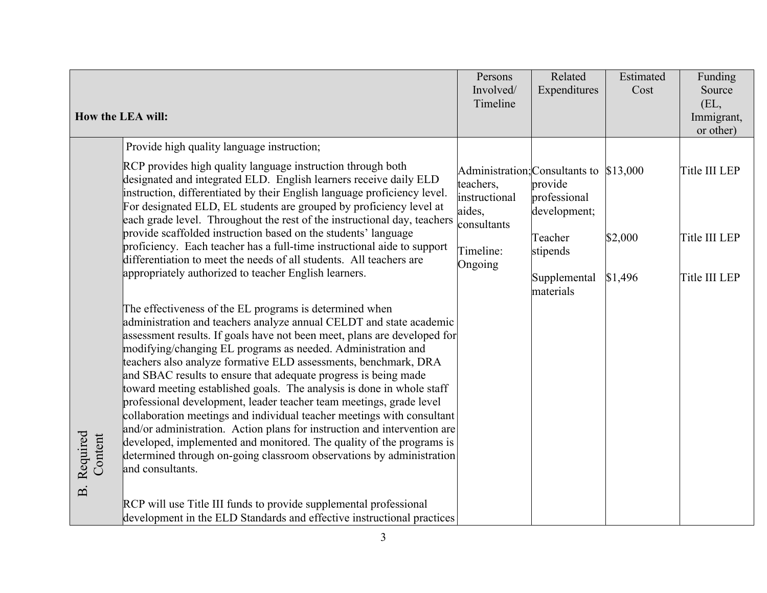|  |                                                | How the LEA will:                                                                                                                                                                                                                                                                                                                                                                                                                                                                                                                                                                                                                                                                                                                                                                                                                                                                                                                                                                                                                                                                                              | Persons<br>Involved/<br>Timeline                                            | Related<br>Expenditures                                                                                                                | Estimated<br>Cost  | Funding<br>Source<br>(EL,<br>Immigrant,                      |
|--|------------------------------------------------|----------------------------------------------------------------------------------------------------------------------------------------------------------------------------------------------------------------------------------------------------------------------------------------------------------------------------------------------------------------------------------------------------------------------------------------------------------------------------------------------------------------------------------------------------------------------------------------------------------------------------------------------------------------------------------------------------------------------------------------------------------------------------------------------------------------------------------------------------------------------------------------------------------------------------------------------------------------------------------------------------------------------------------------------------------------------------------------------------------------|-----------------------------------------------------------------------------|----------------------------------------------------------------------------------------------------------------------------------------|--------------------|--------------------------------------------------------------|
|  |                                                | Provide high quality language instruction;<br>RCP provides high quality language instruction through both<br>designated and integrated ELD. English learners receive daily ELD<br>instruction, differentiated by their English language proficiency level.<br>For designated ELD, EL students are grouped by proficiency level at<br>each grade level. Throughout the rest of the instructional day, teachers<br>provide scaffolded instruction based on the students' language<br>proficiency. Each teacher has a full-time instructional aide to support<br>differentiation to meet the needs of all students. All teachers are<br>appropriately authorized to teacher English learners.<br>The effectiveness of the EL programs is determined when<br>administration and teachers analyze annual CELDT and state academic<br>assessment results. If goals have not been meet, plans are developed for<br>modifying/changing EL programs as needed. Administration and<br>teachers also analyze formative ELD assessments, benchmark, DRA<br>and SBAC results to ensure that adequate progress is being made | teachers,<br>instructional<br>aides,<br>consultants<br>Timeline:<br>Ongoing | Administration; Consultants to \$13,000<br>provide<br>professional<br>development;<br>Teacher<br>stipends<br>Supplemental<br>materials | \$2,000<br>\$1,496 | or other)<br>Title III LEP<br>Title III LEP<br>Title III LEP |
|  | Required<br>Content<br>$\overline{\mathbf{B}}$ | toward meeting established goals. The analysis is done in whole staff<br>professional development, leader teacher team meetings, grade level<br>collaboration meetings and individual teacher meetings with consultant<br>and/or administration. Action plans for instruction and intervention are<br>developed, implemented and monitored. The quality of the programs is<br>determined through on-going classroom observations by administration<br>and consultants.<br>RCP will use Title III funds to provide supplemental professional<br>development in the ELD Standards and effective instructional practices                                                                                                                                                                                                                                                                                                                                                                                                                                                                                          |                                                                             |                                                                                                                                        |                    |                                                              |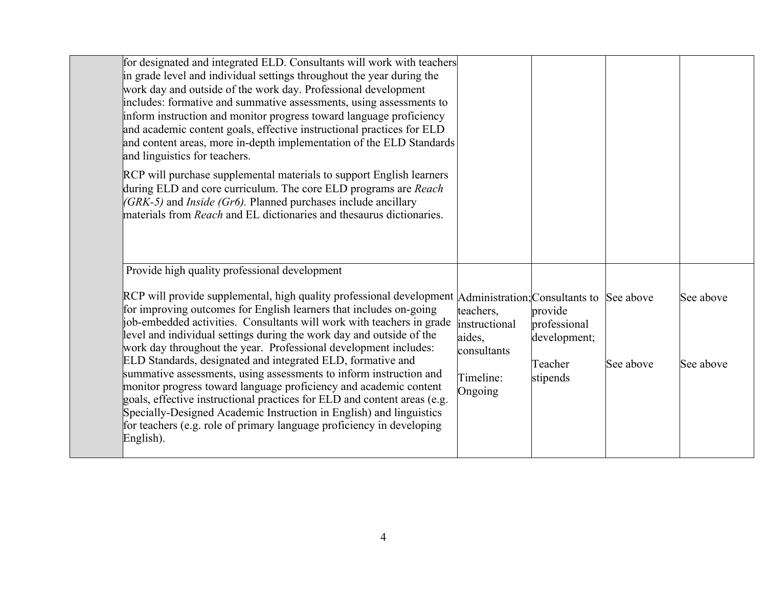| for designated and integrated ELD. Consultants will work with teachers<br>in grade level and individual settings throughout the year during the<br>work day and outside of the work day. Professional development<br>includes: formative and summative assessments, using assessments to<br>inform instruction and monitor progress toward language proficiency<br>and academic content goals, effective instructional practices for ELD<br>and content areas, more in-depth implementation of the ELD Standards<br>and linguistics for teachers.                                                                                                                                                                                                                                                                                                           |                                                                             |                                                                |           |                        |
|-------------------------------------------------------------------------------------------------------------------------------------------------------------------------------------------------------------------------------------------------------------------------------------------------------------------------------------------------------------------------------------------------------------------------------------------------------------------------------------------------------------------------------------------------------------------------------------------------------------------------------------------------------------------------------------------------------------------------------------------------------------------------------------------------------------------------------------------------------------|-----------------------------------------------------------------------------|----------------------------------------------------------------|-----------|------------------------|
| RCP will purchase supplemental materials to support English learners<br>during ELD and core curriculum. The core ELD programs are Reach<br>$(GRK-5)$ and <i>Inside (Gr6)</i> . Planned purchases include ancillary<br>materials from <i>Reach</i> and EL dictionaries and thesaurus dictionaries.                                                                                                                                                                                                                                                                                                                                                                                                                                                                                                                                                           |                                                                             |                                                                |           |                        |
| Provide high quality professional development                                                                                                                                                                                                                                                                                                                                                                                                                                                                                                                                                                                                                                                                                                                                                                                                               |                                                                             |                                                                |           |                        |
| RCP will provide supplemental, high quality professional development Administration; Consultants to See above<br>for improving outcomes for English learners that includes on-going<br>job-embedded activities. Consultants will work with teachers in grade<br>level and individual settings during the work day and outside of the<br>work day throughout the year. Professional development includes:<br>ELD Standards, designated and integrated ELD, formative and<br>summative assessments, using assessments to inform instruction and<br>monitor progress toward language proficiency and academic content<br>goals, effective instructional practices for ELD and content areas (e.g.<br>Specially-Designed Academic Instruction in English) and linguistics<br>for teachers (e.g. role of primary language proficiency in developing<br>English). | teachers,<br>instructional<br>aides,<br>consultants<br>Timeline:<br>Ongoing | provide<br>professional<br>development;<br>Teacher<br>stipends | See above | See above<br>See above |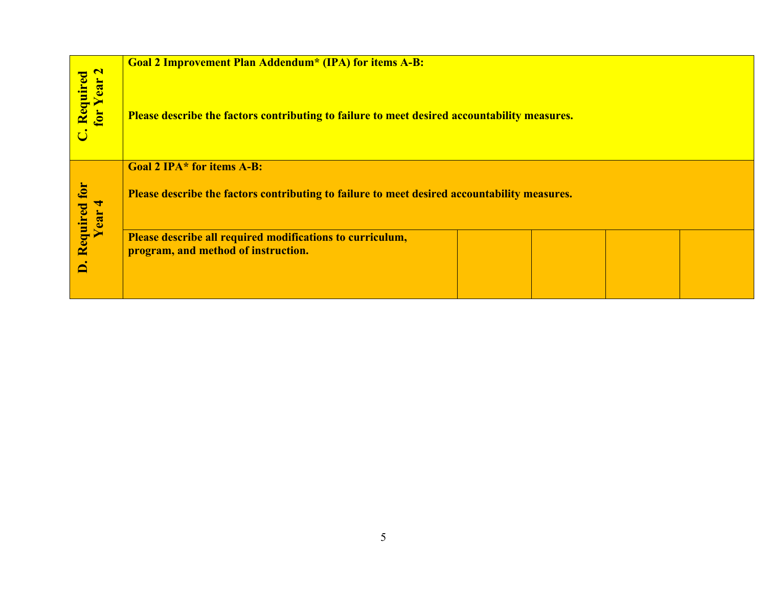|                           | <b>Goal 2 Improvement Plan Addendum* (IPA) for items A-B:</b>                                |  |  |  |  |  |  |
|---------------------------|----------------------------------------------------------------------------------------------|--|--|--|--|--|--|
| Required<br>for Year 2    | Please describe the factors contributing to failure to meet desired accountability measures. |  |  |  |  |  |  |
|                           | <b>Goal 2 IPA* for items A-B:</b>                                                            |  |  |  |  |  |  |
| for<br>Required<br>Year 4 | Please describe the factors contributing to failure to meet desired accountability measures. |  |  |  |  |  |  |
|                           | Please describe all required modifications to curriculum,                                    |  |  |  |  |  |  |
| $\overline{\mathbf{a}}$   | program, and method of instruction.                                                          |  |  |  |  |  |  |
|                           |                                                                                              |  |  |  |  |  |  |
|                           |                                                                                              |  |  |  |  |  |  |